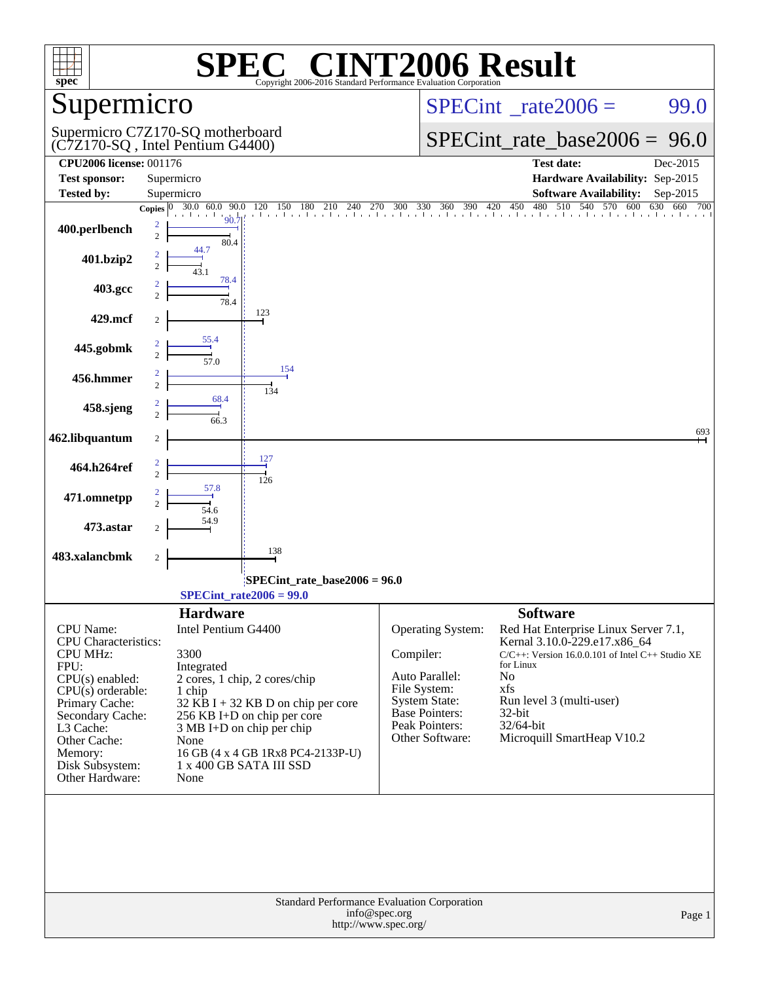|                                                 |                                                                      | $\circledR$                                                     | <b>T2006 Result</b>                                                                  |                                                                                            |         |
|-------------------------------------------------|----------------------------------------------------------------------|-----------------------------------------------------------------|--------------------------------------------------------------------------------------|--------------------------------------------------------------------------------------------|---------|
| $spec^*$                                        |                                                                      | Copyright 2006-2016 Standard Performance Evaluation Corporation |                                                                                      |                                                                                            |         |
| Supermicro                                      |                                                                      |                                                                 |                                                                                      | $SPECint^{\circ}$ <sub>_rate2006</sub> =                                                   | 99.0    |
|                                                 | Supermicro C7Z170-SQ motherboard<br>(C7Z170-SQ, Intel Pentium G4400) |                                                                 |                                                                                      | $SPECint_rate_base2006 = 96.0$                                                             |         |
| <b>CPU2006 license: 001176</b>                  |                                                                      |                                                                 |                                                                                      | <b>Test date:</b><br>Dec-2015                                                              |         |
| <b>Test sponsor:</b>                            | Supermicro                                                           |                                                                 |                                                                                      | Hardware Availability: Sep-2015                                                            |         |
| <b>Tested by:</b>                               | Supermicro<br>30.0 60.0<br>90.0<br>Copies $ 0 $                      | 150 180<br>210<br>120<br>240                                    | 330 360<br>390 420<br>270<br>300                                                     | <b>Software Availability:</b><br>Sep-2015<br>510<br>450<br>480<br>540<br>570<br>600<br>630 | 660 700 |
| 400.perlbench                                   | 90.7<br>2<br>$\overline{c}$<br>80.4                                  | 1 1 1 1 1 1 1 1 1 1 1 1 1 1 .                                   |                                                                                      |                                                                                            |         |
| 401.bzip2                                       | 44.7<br>$\overline{c}$<br>78.4                                       |                                                                 |                                                                                      |                                                                                            |         |
| 403.gcc                                         | 78.4                                                                 |                                                                 |                                                                                      |                                                                                            |         |
| 429.mcf                                         | $\overline{c}$                                                       | 123                                                             |                                                                                      |                                                                                            |         |
| 445.gobmk                                       | 55.4<br>57.0                                                         |                                                                 |                                                                                      |                                                                                            |         |
| 456.hmmer                                       | $\overline{2}$                                                       | 154<br>134                                                      |                                                                                      |                                                                                            |         |
| 458.sjeng                                       | 68.4<br>$\mathfrak{D}$<br>66.3                                       |                                                                 |                                                                                      |                                                                                            |         |
| 462.libquantum                                  | 2                                                                    |                                                                 |                                                                                      |                                                                                            | 693     |
| 464.h264ref                                     | $\overline{2}$                                                       | 127<br>126                                                      |                                                                                      |                                                                                            |         |
| 471.omnetpp                                     | 57.8<br>$\mathcal{D}_{\alpha}$<br>54.6                               |                                                                 |                                                                                      |                                                                                            |         |
| 473.astar                                       | 54.9<br>2                                                            |                                                                 |                                                                                      |                                                                                            |         |
| 483.xalancbmk                                   | $\sqrt{2}$                                                           | 138                                                             |                                                                                      |                                                                                            |         |
|                                                 |                                                                      | SPECint_rate_base2006 = 96.0<br>$SPECint_rate2006 = 99.0$       |                                                                                      |                                                                                            |         |
|                                                 | <b>Hardware</b>                                                      |                                                                 |                                                                                      | <b>Software</b>                                                                            |         |
| <b>CPU</b> Name:<br><b>CPU</b> Characteristics: | Intel Pentium G4400                                                  |                                                                 | Operating System:                                                                    | Red Hat Enterprise Linux Server 7.1,<br>Kernal 3.10.0-229.e17.x86_64                       |         |
| <b>CPU MHz:</b><br>FPU:                         | 3300<br>Integrated                                                   |                                                                 | Compiler:                                                                            | $C/C++$ : Version 16.0.0.101 of Intel $C++$ Studio XE<br>for Linux                         |         |
| $CPU(s)$ enabled:                               |                                                                      | 2 cores, 1 chip, 2 cores/chip                                   | Auto Parallel:                                                                       | N <sub>o</sub>                                                                             |         |
| $CPU(s)$ orderable:<br>Primary Cache:           | 1 chip                                                               | 32 KB I + 32 KB D on chip per core                              | File System:<br><b>System State:</b>                                                 | xfs<br>Run level 3 (multi-user)                                                            |         |
| Secondary Cache:                                |                                                                      | 256 KB I+D on chip per core                                     | Base Pointers:                                                                       | 32-bit                                                                                     |         |
| L3 Cache:                                       |                                                                      | $3 MB I+D$ on chip per chip                                     | Peak Pointers:<br>Other Software:                                                    | 32/64-bit<br>Microquill SmartHeap V10.2                                                    |         |
| Other Cache:<br>Memory:                         | None                                                                 | 16 GB (4 x 4 GB 1Rx8 PC4-2133P-U)                               |                                                                                      |                                                                                            |         |
| Disk Subsystem:<br>Other Hardware:              | None                                                                 | 1 x 400 GB SATA III SSD                                         |                                                                                      |                                                                                            |         |
|                                                 |                                                                      |                                                                 |                                                                                      |                                                                                            |         |
|                                                 |                                                                      |                                                                 | Standard Performance Evaluation Corporation<br>info@spec.org<br>http://www.spec.org/ |                                                                                            | Page 1  |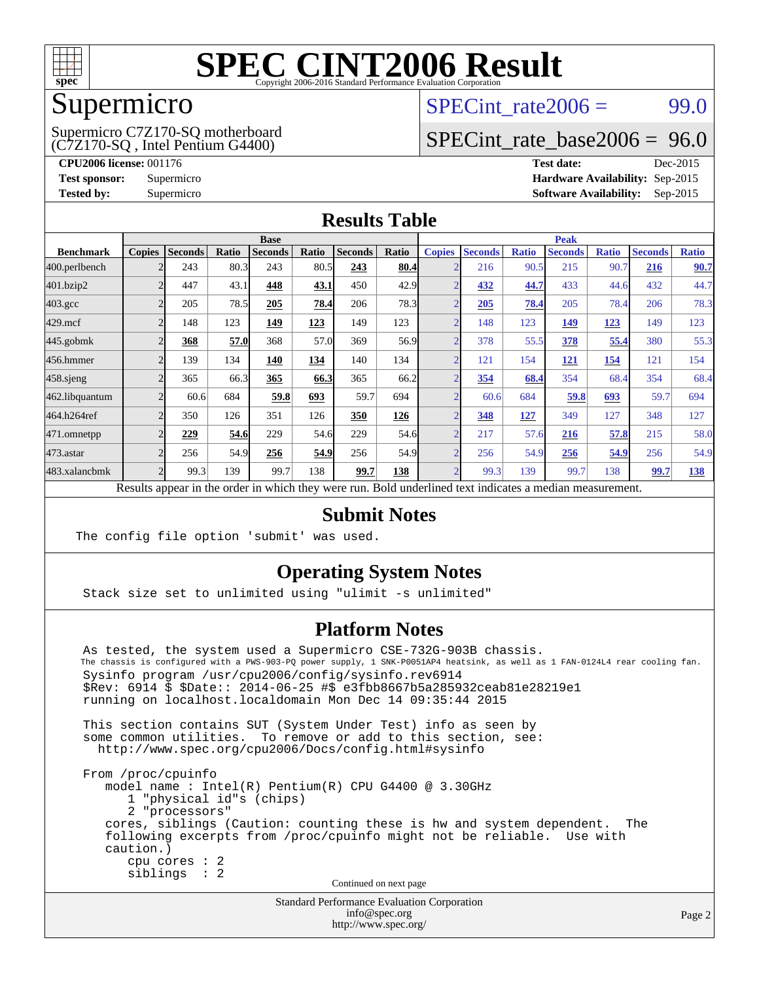

## Supermicro

(C7Z170-SQ , Intel Pentium G4400) Supermicro C7Z170-SQ motherboard SPECint rate $2006 = 99.0$ 

## [SPECint\\_rate\\_base2006 =](http://www.spec.org/auto/cpu2006/Docs/result-fields.html#SPECintratebase2006) 96.0

**[CPU2006 license:](http://www.spec.org/auto/cpu2006/Docs/result-fields.html#CPU2006license)** 001176 **[Test date:](http://www.spec.org/auto/cpu2006/Docs/result-fields.html#Testdate)** Dec-2015 **[Test sponsor:](http://www.spec.org/auto/cpu2006/Docs/result-fields.html#Testsponsor)** Supermicro **[Hardware Availability:](http://www.spec.org/auto/cpu2006/Docs/result-fields.html#HardwareAvailability)** Sep-2015 **[Tested by:](http://www.spec.org/auto/cpu2006/Docs/result-fields.html#Testedby)** Supermicro **Supermicro [Software Availability:](http://www.spec.org/auto/cpu2006/Docs/result-fields.html#SoftwareAvailability)** Sep-2015

### **[Results Table](http://www.spec.org/auto/cpu2006/Docs/result-fields.html#ResultsTable)**

|                    | <b>Base</b>   |                |       |                |       | <b>Peak</b>    |       |                |                |              |                |              |                |              |
|--------------------|---------------|----------------|-------|----------------|-------|----------------|-------|----------------|----------------|--------------|----------------|--------------|----------------|--------------|
| <b>Benchmark</b>   | <b>Copies</b> | <b>Seconds</b> | Ratio | <b>Seconds</b> | Ratio | <b>Seconds</b> | Ratio | <b>Copies</b>  | <b>Seconds</b> | <b>Ratio</b> | <b>Seconds</b> | <b>Ratio</b> | <b>Seconds</b> | <b>Ratio</b> |
| 400.perlbench      |               | 243            | 80.3  | 243            | 80.5  | 243            | 80.4  | ◠              | 216            | 90.5         | 215            | 90.7         | 216            | 90.7         |
| 401.bzip2          |               | 447            | 43.1  | 448            | 43.1  | 450            | 42.9  | ◠              | 432            | 44.7         | 433            | 44.6         | 432            | 44.7         |
| $403.\mathrm{gcc}$ |               | 205            | 78.5  | 205            | 78.4  | 206            | 78.3  |                | 205            | 78.4         | 205            | 78.4         | 206            | 78.3         |
| $429$ .mcf         |               | 148            | 123   | 149            | 123   | 149            | 123   |                | 148            | 123          | 149            | 123          | 149            | 123          |
| $445$ .gobmk       |               | 368            | 57.0  | 368            | 57.0  | 369            | 56.9  | ⌒              | 378            | 55.5         | 378            | 55.4         | 380            | 55.3         |
| 456.hmmer          |               | 139            | 134   | 140            | 134   | 140            | 134   | C              | 121            | 154          | 121            | 154          | 121            | 154          |
| $458$ .sjeng       |               | 365            | 66.3  | 365            | 66.3  | 365            | 66.2  |                | 354            | 68.4         | 354            | 68.4         | 354            | 68.4         |
| 462.libquantum     |               | 60.6           | 684   | 59.8           | 693   | 59.7           | 694   |                | 60.6           | 684          | 59.8           | 693          | 59.7           | 694          |
| 464.h264ref        | 2             | 350            | 126   | 351            | 126   | 350            | 126   | ◠              | 348            | <u>127</u>   | 349            | 127          | 348            | 127          |
| 471.omnetpp        |               | 229            | 54.6  | 229            | 54.6  | 229            | 54.6  | $\overline{2}$ | 217            | 57.6         | 216            | 57.8         | 215            | 58.0         |
| 473.astar          |               | 256            | 54.9  | 256            | 54.9  | 256            | 54.9  |                | 256            | 54.9         | 256            | 54.9         | 256            | 54.9         |
| 483.xalancbmk      |               | 99.3           | 139   | 99.7           | 138   | 99.7           | 138   | $\overline{2}$ | 99.3           | 139          | 99.7           | 138          | 99.7           | <u>138</u>   |

Results appear in the [order in which they were run.](http://www.spec.org/auto/cpu2006/Docs/result-fields.html#RunOrder) Bold underlined text [indicates a median measurement.](http://www.spec.org/auto/cpu2006/Docs/result-fields.html#Median)

### **[Submit Notes](http://www.spec.org/auto/cpu2006/Docs/result-fields.html#SubmitNotes)**

The config file option 'submit' was used.

### **[Operating System Notes](http://www.spec.org/auto/cpu2006/Docs/result-fields.html#OperatingSystemNotes)**

Stack size set to unlimited using "ulimit -s unlimited"

### **[Platform Notes](http://www.spec.org/auto/cpu2006/Docs/result-fields.html#PlatformNotes)**

Standard Performance Evaluation Corporation As tested, the system used a Supermicro CSE-732G-903B chassis. The chassis is configured with a PWS-903-PQ power supply, 1 SNK-P0051AP4 heatsink, as well as 1 FAN-0124L4 rear cooling fan. Sysinfo program /usr/cpu2006/config/sysinfo.rev6914 \$Rev: 6914 \$ \$Date:: 2014-06-25 #\$ e3fbb8667b5a285932ceab81e28219e1 running on localhost.localdomain Mon Dec 14 09:35:44 2015 This section contains SUT (System Under Test) info as seen by some common utilities. To remove or add to this section, see: <http://www.spec.org/cpu2006/Docs/config.html#sysinfo> From /proc/cpuinfo model name : Intel(R) Pentium(R) CPU G4400 @ 3.30GHz 1 "physical id"s (chips) 2 "processors" cores, siblings (Caution: counting these is hw and system dependent. The following excerpts from /proc/cpuinfo might not be reliable. Use with caution.) cpu cores : 2 siblings : 2 Continued on next page

[info@spec.org](mailto:info@spec.org) <http://www.spec.org/>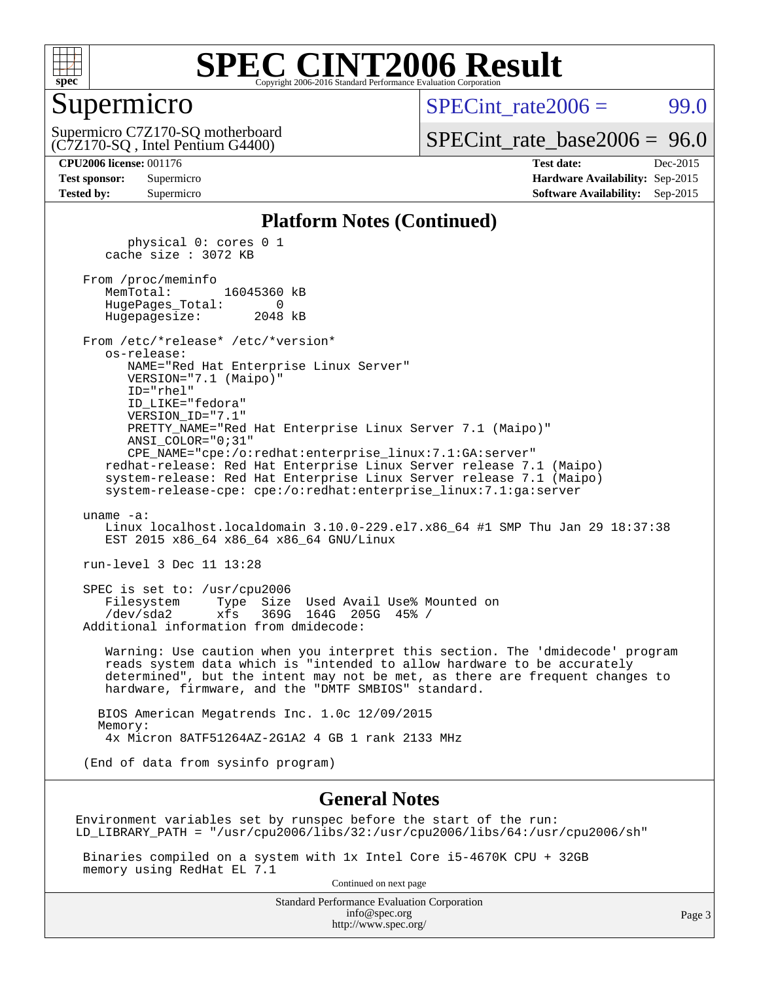

## Supermicro

SPECint rate $2006 = 99.0$ 

(C7Z170-SQ , Intel Pentium G4400) Supermicro C7Z170-SQ motherboard

[SPECint\\_rate\\_base2006 =](http://www.spec.org/auto/cpu2006/Docs/result-fields.html#SPECintratebase2006) 96.0

**[CPU2006 license:](http://www.spec.org/auto/cpu2006/Docs/result-fields.html#CPU2006license)** 001176 **[Test date:](http://www.spec.org/auto/cpu2006/Docs/result-fields.html#Testdate)** Dec-2015 **[Test sponsor:](http://www.spec.org/auto/cpu2006/Docs/result-fields.html#Testsponsor)** Supermicro **[Hardware Availability:](http://www.spec.org/auto/cpu2006/Docs/result-fields.html#HardwareAvailability)** Sep-2015 **[Tested by:](http://www.spec.org/auto/cpu2006/Docs/result-fields.html#Testedby)** Supermicro **Supermicro [Software Availability:](http://www.spec.org/auto/cpu2006/Docs/result-fields.html#SoftwareAvailability)** Sep-2015

#### **[Platform Notes \(Continued\)](http://www.spec.org/auto/cpu2006/Docs/result-fields.html#PlatformNotes)**

 physical 0: cores 0 1 cache size : 3072 KB From /proc/meminfo MemTotal: 16045360 kB HugePages\_Total: 0 Hugepagesize: 2048 kB From /etc/\*release\* /etc/\*version\* os-release: NAME="Red Hat Enterprise Linux Server" VERSION="7.1 (Maipo)" ID="rhel" ID\_LIKE="fedora" VERSION\_ID="7.1" PRETTY\_NAME="Red Hat Enterprise Linux Server 7.1 (Maipo)" ANSI\_COLOR="0;31" CPE\_NAME="cpe:/o:redhat:enterprise\_linux:7.1:GA:server" redhat-release: Red Hat Enterprise Linux Server release 7.1 (Maipo) system-release: Red Hat Enterprise Linux Server release 7.1 (Maipo) system-release-cpe: cpe:/o:redhat:enterprise\_linux:7.1:ga:server uname -a: Linux localhost.localdomain 3.10.0-229.el7.x86\_64 #1 SMP Thu Jan 29 18:37:38 EST 2015 x86 64 x86 64 x86 64 GNU/Linux run-level 3 Dec 11 13:28 SPEC is set to: /usr/cpu2006 Filesystem Type Size Used Avail Use% Mounted on /dev/sda2 xfs 369G 164G 205G 45% / Additional information from dmidecode: Warning: Use caution when you interpret this section. The 'dmidecode' program reads system data which is "intended to allow hardware to be accurately determined", but the intent may not be met, as there are frequent changes to hardware, firmware, and the "DMTF SMBIOS" standard. BIOS American Megatrends Inc. 1.0c 12/09/2015 Memory: 4x Micron 8ATF51264AZ-2G1A2 4 GB 1 rank 2133 MHz (End of data from sysinfo program)

#### **[General Notes](http://www.spec.org/auto/cpu2006/Docs/result-fields.html#GeneralNotes)**

Environment variables set by runspec before the start of the run: LD\_LIBRARY\_PATH = "/usr/cpu2006/libs/32:/usr/cpu2006/libs/64:/usr/cpu2006/sh"

 Binaries compiled on a system with 1x Intel Core i5-4670K CPU + 32GB memory using RedHat EL 7.1

Continued on next page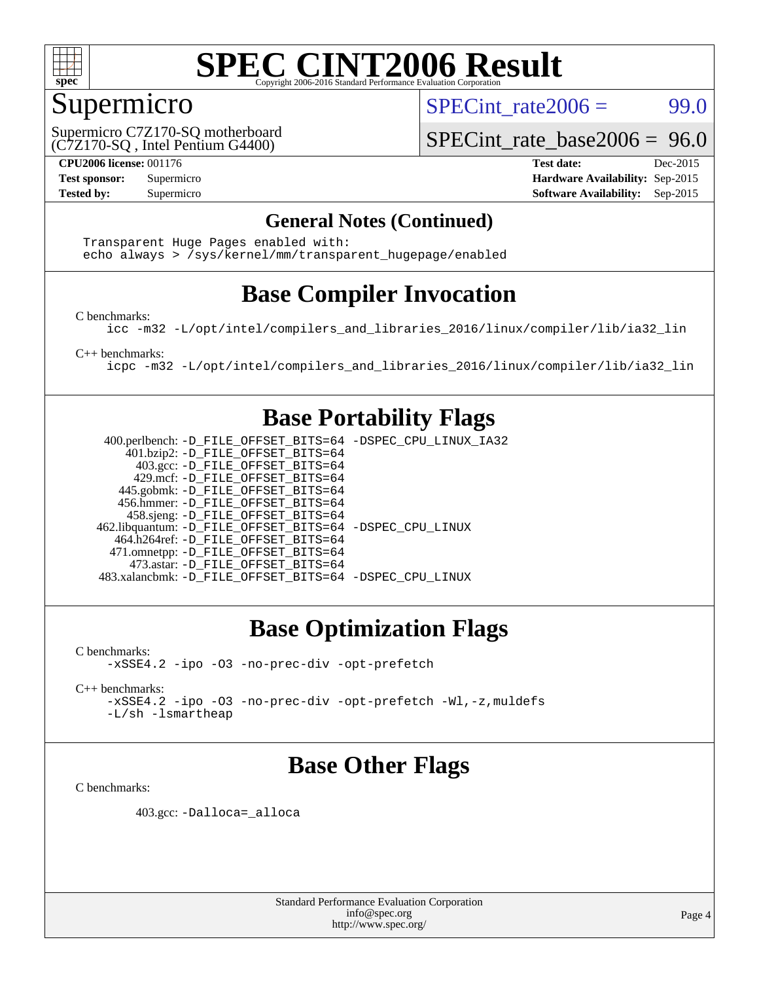

## Supermicro

SPECint rate $2006 = 99.0$ 

(C7Z170-SQ , Intel Pentium G4400) Supermicro C7Z170-SQ motherboard

[SPECint\\_rate\\_base2006 =](http://www.spec.org/auto/cpu2006/Docs/result-fields.html#SPECintratebase2006) 96.0

**[CPU2006 license:](http://www.spec.org/auto/cpu2006/Docs/result-fields.html#CPU2006license)** 001176 **[Test date:](http://www.spec.org/auto/cpu2006/Docs/result-fields.html#Testdate)** Dec-2015 **[Test sponsor:](http://www.spec.org/auto/cpu2006/Docs/result-fields.html#Testsponsor)** Supermicro **[Hardware Availability:](http://www.spec.org/auto/cpu2006/Docs/result-fields.html#HardwareAvailability)** Sep-2015 **[Tested by:](http://www.spec.org/auto/cpu2006/Docs/result-fields.html#Testedby)** Supermicro **Supermicro [Software Availability:](http://www.spec.org/auto/cpu2006/Docs/result-fields.html#SoftwareAvailability)** Sep-2015

### **[General Notes \(Continued\)](http://www.spec.org/auto/cpu2006/Docs/result-fields.html#GeneralNotes)**

 Transparent Huge Pages enabled with: echo always > /sys/kernel/mm/transparent\_hugepage/enabled

## **[Base Compiler Invocation](http://www.spec.org/auto/cpu2006/Docs/result-fields.html#BaseCompilerInvocation)**

[C benchmarks](http://www.spec.org/auto/cpu2006/Docs/result-fields.html#Cbenchmarks):

[icc -m32 -L/opt/intel/compilers\\_and\\_libraries\\_2016/linux/compiler/lib/ia32\\_lin](http://www.spec.org/cpu2006/results/res2016q1/cpu2006-20151217-38448.flags.html#user_CCbase_intel_icc_e10256ba5924b668798078a321b0cb3f)

[C++ benchmarks:](http://www.spec.org/auto/cpu2006/Docs/result-fields.html#CXXbenchmarks)

[icpc -m32 -L/opt/intel/compilers\\_and\\_libraries\\_2016/linux/compiler/lib/ia32\\_lin](http://www.spec.org/cpu2006/results/res2016q1/cpu2006-20151217-38448.flags.html#user_CXXbase_intel_icpc_b4f50a394bdb4597aa5879c16bc3f5c5)

## **[Base Portability Flags](http://www.spec.org/auto/cpu2006/Docs/result-fields.html#BasePortabilityFlags)**

 400.perlbench: [-D\\_FILE\\_OFFSET\\_BITS=64](http://www.spec.org/cpu2006/results/res2016q1/cpu2006-20151217-38448.flags.html#user_basePORTABILITY400_perlbench_file_offset_bits_64_438cf9856305ebd76870a2c6dc2689ab) [-DSPEC\\_CPU\\_LINUX\\_IA32](http://www.spec.org/cpu2006/results/res2016q1/cpu2006-20151217-38448.flags.html#b400.perlbench_baseCPORTABILITY_DSPEC_CPU_LINUX_IA32) 401.bzip2: [-D\\_FILE\\_OFFSET\\_BITS=64](http://www.spec.org/cpu2006/results/res2016q1/cpu2006-20151217-38448.flags.html#user_basePORTABILITY401_bzip2_file_offset_bits_64_438cf9856305ebd76870a2c6dc2689ab) 403.gcc: [-D\\_FILE\\_OFFSET\\_BITS=64](http://www.spec.org/cpu2006/results/res2016q1/cpu2006-20151217-38448.flags.html#user_basePORTABILITY403_gcc_file_offset_bits_64_438cf9856305ebd76870a2c6dc2689ab) 429.mcf: [-D\\_FILE\\_OFFSET\\_BITS=64](http://www.spec.org/cpu2006/results/res2016q1/cpu2006-20151217-38448.flags.html#user_basePORTABILITY429_mcf_file_offset_bits_64_438cf9856305ebd76870a2c6dc2689ab) 445.gobmk: [-D\\_FILE\\_OFFSET\\_BITS=64](http://www.spec.org/cpu2006/results/res2016q1/cpu2006-20151217-38448.flags.html#user_basePORTABILITY445_gobmk_file_offset_bits_64_438cf9856305ebd76870a2c6dc2689ab) 456.hmmer: [-D\\_FILE\\_OFFSET\\_BITS=64](http://www.spec.org/cpu2006/results/res2016q1/cpu2006-20151217-38448.flags.html#user_basePORTABILITY456_hmmer_file_offset_bits_64_438cf9856305ebd76870a2c6dc2689ab) 458.sjeng: [-D\\_FILE\\_OFFSET\\_BITS=64](http://www.spec.org/cpu2006/results/res2016q1/cpu2006-20151217-38448.flags.html#user_basePORTABILITY458_sjeng_file_offset_bits_64_438cf9856305ebd76870a2c6dc2689ab) 462.libquantum: [-D\\_FILE\\_OFFSET\\_BITS=64](http://www.spec.org/cpu2006/results/res2016q1/cpu2006-20151217-38448.flags.html#user_basePORTABILITY462_libquantum_file_offset_bits_64_438cf9856305ebd76870a2c6dc2689ab) [-DSPEC\\_CPU\\_LINUX](http://www.spec.org/cpu2006/results/res2016q1/cpu2006-20151217-38448.flags.html#b462.libquantum_baseCPORTABILITY_DSPEC_CPU_LINUX) 464.h264ref: [-D\\_FILE\\_OFFSET\\_BITS=64](http://www.spec.org/cpu2006/results/res2016q1/cpu2006-20151217-38448.flags.html#user_basePORTABILITY464_h264ref_file_offset_bits_64_438cf9856305ebd76870a2c6dc2689ab) 471.omnetpp: [-D\\_FILE\\_OFFSET\\_BITS=64](http://www.spec.org/cpu2006/results/res2016q1/cpu2006-20151217-38448.flags.html#user_basePORTABILITY471_omnetpp_file_offset_bits_64_438cf9856305ebd76870a2c6dc2689ab) 473.astar: [-D\\_FILE\\_OFFSET\\_BITS=64](http://www.spec.org/cpu2006/results/res2016q1/cpu2006-20151217-38448.flags.html#user_basePORTABILITY473_astar_file_offset_bits_64_438cf9856305ebd76870a2c6dc2689ab) 483.xalancbmk: [-D\\_FILE\\_OFFSET\\_BITS=64](http://www.spec.org/cpu2006/results/res2016q1/cpu2006-20151217-38448.flags.html#user_basePORTABILITY483_xalancbmk_file_offset_bits_64_438cf9856305ebd76870a2c6dc2689ab) [-DSPEC\\_CPU\\_LINUX](http://www.spec.org/cpu2006/results/res2016q1/cpu2006-20151217-38448.flags.html#b483.xalancbmk_baseCXXPORTABILITY_DSPEC_CPU_LINUX)

## **[Base Optimization Flags](http://www.spec.org/auto/cpu2006/Docs/result-fields.html#BaseOptimizationFlags)**

[C benchmarks](http://www.spec.org/auto/cpu2006/Docs/result-fields.html#Cbenchmarks): [-xSSE4.2](http://www.spec.org/cpu2006/results/res2016q1/cpu2006-20151217-38448.flags.html#user_CCbase_f-xSSE42_f91528193cf0b216347adb8b939d4107) [-ipo](http://www.spec.org/cpu2006/results/res2016q1/cpu2006-20151217-38448.flags.html#user_CCbase_f-ipo) [-O3](http://www.spec.org/cpu2006/results/res2016q1/cpu2006-20151217-38448.flags.html#user_CCbase_f-O3) [-no-prec-div](http://www.spec.org/cpu2006/results/res2016q1/cpu2006-20151217-38448.flags.html#user_CCbase_f-no-prec-div) [-opt-prefetch](http://www.spec.org/cpu2006/results/res2016q1/cpu2006-20151217-38448.flags.html#user_CCbase_f-opt-prefetch)

[C++ benchmarks:](http://www.spec.org/auto/cpu2006/Docs/result-fields.html#CXXbenchmarks) [-xSSE4.2](http://www.spec.org/cpu2006/results/res2016q1/cpu2006-20151217-38448.flags.html#user_CXXbase_f-xSSE42_f91528193cf0b216347adb8b939d4107) [-ipo](http://www.spec.org/cpu2006/results/res2016q1/cpu2006-20151217-38448.flags.html#user_CXXbase_f-ipo) [-O3](http://www.spec.org/cpu2006/results/res2016q1/cpu2006-20151217-38448.flags.html#user_CXXbase_f-O3) [-no-prec-div](http://www.spec.org/cpu2006/results/res2016q1/cpu2006-20151217-38448.flags.html#user_CXXbase_f-no-prec-div) [-opt-prefetch](http://www.spec.org/cpu2006/results/res2016q1/cpu2006-20151217-38448.flags.html#user_CXXbase_f-opt-prefetch) [-Wl,-z,muldefs](http://www.spec.org/cpu2006/results/res2016q1/cpu2006-20151217-38448.flags.html#user_CXXbase_link_force_multiple1_74079c344b956b9658436fd1b6dd3a8a)

[-L/sh -lsmartheap](http://www.spec.org/cpu2006/results/res2016q1/cpu2006-20151217-38448.flags.html#user_CXXbase_SmartHeap_32f6c82aa1ed9c52345d30cf6e4a0499)

## **[Base Other Flags](http://www.spec.org/auto/cpu2006/Docs/result-fields.html#BaseOtherFlags)**

[C benchmarks](http://www.spec.org/auto/cpu2006/Docs/result-fields.html#Cbenchmarks):

403.gcc: [-Dalloca=\\_alloca](http://www.spec.org/cpu2006/results/res2016q1/cpu2006-20151217-38448.flags.html#b403.gcc_baseEXTRA_CFLAGS_Dalloca_be3056838c12de2578596ca5467af7f3)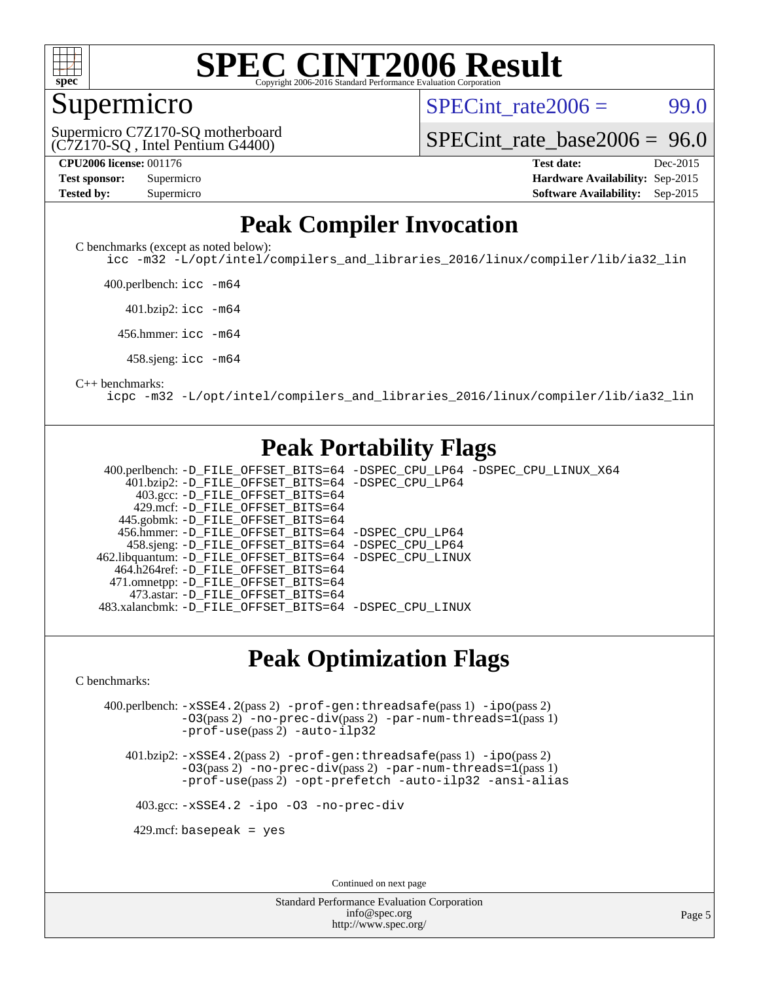

#### **[SPEC CINT2006 Result](http://www.spec.org/auto/cpu2006/Docs/result-fields.html#SPECCINT2006Result)** Copyright 2006-2016 Standard Performance Evaluation C

## Supermicro

SPECint rate $2006 = 99.0$ 

(C7Z170-SQ , Intel Pentium G4400) Supermicro C7Z170-SQ motherboard

[SPECint\\_rate\\_base2006 =](http://www.spec.org/auto/cpu2006/Docs/result-fields.html#SPECintratebase2006) 96.0

| <b>Test sponsor:</b> | Supermicro |
|----------------------|------------|
| <b>Tested by:</b>    | Supermicro |

**[CPU2006 license:](http://www.spec.org/auto/cpu2006/Docs/result-fields.html#CPU2006license)** 001176 **[Test date:](http://www.spec.org/auto/cpu2006/Docs/result-fields.html#Testdate)** Dec-2015 **[Hardware Availability:](http://www.spec.org/auto/cpu2006/Docs/result-fields.html#HardwareAvailability)** Sep-2015 **[Software Availability:](http://www.spec.org/auto/cpu2006/Docs/result-fields.html#SoftwareAvailability)** Sep-2015

## **[Peak Compiler Invocation](http://www.spec.org/auto/cpu2006/Docs/result-fields.html#PeakCompilerInvocation)**

[C benchmarks \(except as noted below\)](http://www.spec.org/auto/cpu2006/Docs/result-fields.html#Cbenchmarksexceptasnotedbelow):

[icc -m32 -L/opt/intel/compilers\\_and\\_libraries\\_2016/linux/compiler/lib/ia32\\_lin](http://www.spec.org/cpu2006/results/res2016q1/cpu2006-20151217-38448.flags.html#user_CCpeak_intel_icc_e10256ba5924b668798078a321b0cb3f)

400.perlbench: [icc -m64](http://www.spec.org/cpu2006/results/res2016q1/cpu2006-20151217-38448.flags.html#user_peakCCLD400_perlbench_intel_icc_64bit_bda6cc9af1fdbb0edc3795bac97ada53)

401.bzip2: [icc -m64](http://www.spec.org/cpu2006/results/res2016q1/cpu2006-20151217-38448.flags.html#user_peakCCLD401_bzip2_intel_icc_64bit_bda6cc9af1fdbb0edc3795bac97ada53)

456.hmmer: [icc -m64](http://www.spec.org/cpu2006/results/res2016q1/cpu2006-20151217-38448.flags.html#user_peakCCLD456_hmmer_intel_icc_64bit_bda6cc9af1fdbb0edc3795bac97ada53)

458.sjeng: [icc -m64](http://www.spec.org/cpu2006/results/res2016q1/cpu2006-20151217-38448.flags.html#user_peakCCLD458_sjeng_intel_icc_64bit_bda6cc9af1fdbb0edc3795bac97ada53)

#### [C++ benchmarks:](http://www.spec.org/auto/cpu2006/Docs/result-fields.html#CXXbenchmarks)

[icpc -m32 -L/opt/intel/compilers\\_and\\_libraries\\_2016/linux/compiler/lib/ia32\\_lin](http://www.spec.org/cpu2006/results/res2016q1/cpu2006-20151217-38448.flags.html#user_CXXpeak_intel_icpc_b4f50a394bdb4597aa5879c16bc3f5c5)

## **[Peak Portability Flags](http://www.spec.org/auto/cpu2006/Docs/result-fields.html#PeakPortabilityFlags)**

 400.perlbench: [-D\\_FILE\\_OFFSET\\_BITS=64](http://www.spec.org/cpu2006/results/res2016q1/cpu2006-20151217-38448.flags.html#user_peakPORTABILITY400_perlbench_file_offset_bits_64_438cf9856305ebd76870a2c6dc2689ab) [-DSPEC\\_CPU\\_LP64](http://www.spec.org/cpu2006/results/res2016q1/cpu2006-20151217-38448.flags.html#b400.perlbench_peakCPORTABILITY_DSPEC_CPU_LP64) [-DSPEC\\_CPU\\_LINUX\\_X64](http://www.spec.org/cpu2006/results/res2016q1/cpu2006-20151217-38448.flags.html#b400.perlbench_peakCPORTABILITY_DSPEC_CPU_LINUX_X64) 401.bzip2: [-D\\_FILE\\_OFFSET\\_BITS=64](http://www.spec.org/cpu2006/results/res2016q1/cpu2006-20151217-38448.flags.html#user_peakPORTABILITY401_bzip2_file_offset_bits_64_438cf9856305ebd76870a2c6dc2689ab) [-DSPEC\\_CPU\\_LP64](http://www.spec.org/cpu2006/results/res2016q1/cpu2006-20151217-38448.flags.html#suite_peakCPORTABILITY401_bzip2_DSPEC_CPU_LP64) 403.gcc: [-D\\_FILE\\_OFFSET\\_BITS=64](http://www.spec.org/cpu2006/results/res2016q1/cpu2006-20151217-38448.flags.html#user_peakPORTABILITY403_gcc_file_offset_bits_64_438cf9856305ebd76870a2c6dc2689ab) 429.mcf: [-D\\_FILE\\_OFFSET\\_BITS=64](http://www.spec.org/cpu2006/results/res2016q1/cpu2006-20151217-38448.flags.html#user_peakPORTABILITY429_mcf_file_offset_bits_64_438cf9856305ebd76870a2c6dc2689ab) 445.gobmk: [-D\\_FILE\\_OFFSET\\_BITS=64](http://www.spec.org/cpu2006/results/res2016q1/cpu2006-20151217-38448.flags.html#user_peakPORTABILITY445_gobmk_file_offset_bits_64_438cf9856305ebd76870a2c6dc2689ab) 456.hmmer: [-D\\_FILE\\_OFFSET\\_BITS=64](http://www.spec.org/cpu2006/results/res2016q1/cpu2006-20151217-38448.flags.html#user_peakPORTABILITY456_hmmer_file_offset_bits_64_438cf9856305ebd76870a2c6dc2689ab) [-DSPEC\\_CPU\\_LP64](http://www.spec.org/cpu2006/results/res2016q1/cpu2006-20151217-38448.flags.html#suite_peakCPORTABILITY456_hmmer_DSPEC_CPU_LP64) 458.sjeng: [-D\\_FILE\\_OFFSET\\_BITS=64](http://www.spec.org/cpu2006/results/res2016q1/cpu2006-20151217-38448.flags.html#user_peakPORTABILITY458_sjeng_file_offset_bits_64_438cf9856305ebd76870a2c6dc2689ab) [-DSPEC\\_CPU\\_LP64](http://www.spec.org/cpu2006/results/res2016q1/cpu2006-20151217-38448.flags.html#suite_peakCPORTABILITY458_sjeng_DSPEC_CPU_LP64) 462.libquantum: [-D\\_FILE\\_OFFSET\\_BITS=64](http://www.spec.org/cpu2006/results/res2016q1/cpu2006-20151217-38448.flags.html#user_peakPORTABILITY462_libquantum_file_offset_bits_64_438cf9856305ebd76870a2c6dc2689ab) [-DSPEC\\_CPU\\_LINUX](http://www.spec.org/cpu2006/results/res2016q1/cpu2006-20151217-38448.flags.html#b462.libquantum_peakCPORTABILITY_DSPEC_CPU_LINUX) 464.h264ref: [-D\\_FILE\\_OFFSET\\_BITS=64](http://www.spec.org/cpu2006/results/res2016q1/cpu2006-20151217-38448.flags.html#user_peakPORTABILITY464_h264ref_file_offset_bits_64_438cf9856305ebd76870a2c6dc2689ab) 471.omnetpp: [-D\\_FILE\\_OFFSET\\_BITS=64](http://www.spec.org/cpu2006/results/res2016q1/cpu2006-20151217-38448.flags.html#user_peakPORTABILITY471_omnetpp_file_offset_bits_64_438cf9856305ebd76870a2c6dc2689ab) 473.astar: [-D\\_FILE\\_OFFSET\\_BITS=64](http://www.spec.org/cpu2006/results/res2016q1/cpu2006-20151217-38448.flags.html#user_peakPORTABILITY473_astar_file_offset_bits_64_438cf9856305ebd76870a2c6dc2689ab) 483.xalancbmk: [-D\\_FILE\\_OFFSET\\_BITS=64](http://www.spec.org/cpu2006/results/res2016q1/cpu2006-20151217-38448.flags.html#user_peakPORTABILITY483_xalancbmk_file_offset_bits_64_438cf9856305ebd76870a2c6dc2689ab) [-DSPEC\\_CPU\\_LINUX](http://www.spec.org/cpu2006/results/res2016q1/cpu2006-20151217-38448.flags.html#b483.xalancbmk_peakCXXPORTABILITY_DSPEC_CPU_LINUX)

### **[Peak Optimization Flags](http://www.spec.org/auto/cpu2006/Docs/result-fields.html#PeakOptimizationFlags)**

[C benchmarks](http://www.spec.org/auto/cpu2006/Docs/result-fields.html#Cbenchmarks):

 400.perlbench: [-xSSE4.2](http://www.spec.org/cpu2006/results/res2016q1/cpu2006-20151217-38448.flags.html#user_peakPASS2_CFLAGSPASS2_LDCFLAGS400_perlbench_f-xSSE42_f91528193cf0b216347adb8b939d4107)(pass 2) [-prof-gen:threadsafe](http://www.spec.org/cpu2006/results/res2016q1/cpu2006-20151217-38448.flags.html#user_peakPASS1_CFLAGSPASS1_LDCFLAGS400_perlbench_prof_gen_21a26eb79f378b550acd7bec9fe4467a)(pass 1) [-ipo](http://www.spec.org/cpu2006/results/res2016q1/cpu2006-20151217-38448.flags.html#user_peakPASS2_CFLAGSPASS2_LDCFLAGS400_perlbench_f-ipo)(pass 2) [-O3](http://www.spec.org/cpu2006/results/res2016q1/cpu2006-20151217-38448.flags.html#user_peakPASS2_CFLAGSPASS2_LDCFLAGS400_perlbench_f-O3)(pass 2) [-no-prec-div](http://www.spec.org/cpu2006/results/res2016q1/cpu2006-20151217-38448.flags.html#user_peakPASS2_CFLAGSPASS2_LDCFLAGS400_perlbench_f-no-prec-div)(pass 2) [-par-num-threads=1](http://www.spec.org/cpu2006/results/res2016q1/cpu2006-20151217-38448.flags.html#user_peakPASS1_CFLAGSPASS1_LDCFLAGS400_perlbench_par_num_threads_786a6ff141b4e9e90432e998842df6c2)(pass 1) [-prof-use](http://www.spec.org/cpu2006/results/res2016q1/cpu2006-20151217-38448.flags.html#user_peakPASS2_CFLAGSPASS2_LDCFLAGS400_perlbench_prof_use_bccf7792157ff70d64e32fe3e1250b55)(pass 2) [-auto-ilp32](http://www.spec.org/cpu2006/results/res2016q1/cpu2006-20151217-38448.flags.html#user_peakCOPTIMIZE400_perlbench_f-auto-ilp32)

 401.bzip2: [-xSSE4.2](http://www.spec.org/cpu2006/results/res2016q1/cpu2006-20151217-38448.flags.html#user_peakPASS2_CFLAGSPASS2_LDCFLAGS401_bzip2_f-xSSE42_f91528193cf0b216347adb8b939d4107)(pass 2) [-prof-gen:threadsafe](http://www.spec.org/cpu2006/results/res2016q1/cpu2006-20151217-38448.flags.html#user_peakPASS1_CFLAGSPASS1_LDCFLAGS401_bzip2_prof_gen_21a26eb79f378b550acd7bec9fe4467a)(pass 1) [-ipo](http://www.spec.org/cpu2006/results/res2016q1/cpu2006-20151217-38448.flags.html#user_peakPASS2_CFLAGSPASS2_LDCFLAGS401_bzip2_f-ipo)(pass 2) [-O3](http://www.spec.org/cpu2006/results/res2016q1/cpu2006-20151217-38448.flags.html#user_peakPASS2_CFLAGSPASS2_LDCFLAGS401_bzip2_f-O3)(pass 2) [-no-prec-div](http://www.spec.org/cpu2006/results/res2016q1/cpu2006-20151217-38448.flags.html#user_peakPASS2_CFLAGSPASS2_LDCFLAGS401_bzip2_f-no-prec-div)(pass 2) [-par-num-threads=1](http://www.spec.org/cpu2006/results/res2016q1/cpu2006-20151217-38448.flags.html#user_peakPASS1_CFLAGSPASS1_LDCFLAGS401_bzip2_par_num_threads_786a6ff141b4e9e90432e998842df6c2)(pass 1) [-prof-use](http://www.spec.org/cpu2006/results/res2016q1/cpu2006-20151217-38448.flags.html#user_peakPASS2_CFLAGSPASS2_LDCFLAGS401_bzip2_prof_use_bccf7792157ff70d64e32fe3e1250b55)(pass 2) [-opt-prefetch](http://www.spec.org/cpu2006/results/res2016q1/cpu2006-20151217-38448.flags.html#user_peakCOPTIMIZE401_bzip2_f-opt-prefetch) [-auto-ilp32](http://www.spec.org/cpu2006/results/res2016q1/cpu2006-20151217-38448.flags.html#user_peakCOPTIMIZE401_bzip2_f-auto-ilp32) [-ansi-alias](http://www.spec.org/cpu2006/results/res2016q1/cpu2006-20151217-38448.flags.html#user_peakCOPTIMIZE401_bzip2_f-ansi-alias)

403.gcc: [-xSSE4.2](http://www.spec.org/cpu2006/results/res2016q1/cpu2006-20151217-38448.flags.html#user_peakCOPTIMIZE403_gcc_f-xSSE42_f91528193cf0b216347adb8b939d4107) [-ipo](http://www.spec.org/cpu2006/results/res2016q1/cpu2006-20151217-38448.flags.html#user_peakCOPTIMIZE403_gcc_f-ipo) [-O3](http://www.spec.org/cpu2006/results/res2016q1/cpu2006-20151217-38448.flags.html#user_peakCOPTIMIZE403_gcc_f-O3) [-no-prec-div](http://www.spec.org/cpu2006/results/res2016q1/cpu2006-20151217-38448.flags.html#user_peakCOPTIMIZE403_gcc_f-no-prec-div)

 $429$ .mcf: basepeak = yes

Continued on next page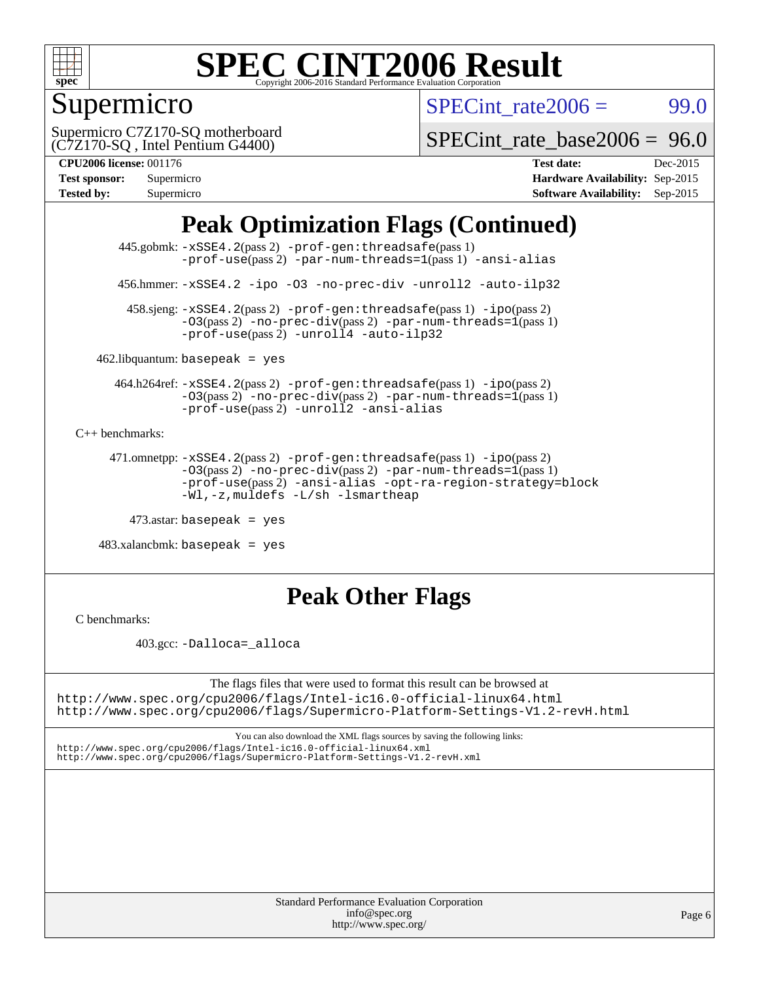

## Supermicro

 $SPECTnt_rate2006 = 99.0$ 

(C7Z170-SQ , Intel Pentium G4400) Supermicro C7Z170-SQ motherboard

[SPECint\\_rate\\_base2006 =](http://www.spec.org/auto/cpu2006/Docs/result-fields.html#SPECintratebase2006) 96.0

#### **[CPU2006 license:](http://www.spec.org/auto/cpu2006/Docs/result-fields.html#CPU2006license)** 001176 **[Test date:](http://www.spec.org/auto/cpu2006/Docs/result-fields.html#Testdate)** Dec-2015

| <b>Test sponsor:</b> | Supermicro |
|----------------------|------------|
| <b>Tested by:</b>    | Supermicro |

**[Hardware Availability:](http://www.spec.org/auto/cpu2006/Docs/result-fields.html#HardwareAvailability)** Sep-2015 **[Software Availability:](http://www.spec.org/auto/cpu2006/Docs/result-fields.html#SoftwareAvailability)** Sep-2015

## **[Peak Optimization Flags \(Continued\)](http://www.spec.org/auto/cpu2006/Docs/result-fields.html#PeakOptimizationFlags)**

 445.gobmk: [-xSSE4.2](http://www.spec.org/cpu2006/results/res2016q1/cpu2006-20151217-38448.flags.html#user_peakPASS2_CFLAGSPASS2_LDCFLAGS445_gobmk_f-xSSE42_f91528193cf0b216347adb8b939d4107)(pass 2) [-prof-gen:threadsafe](http://www.spec.org/cpu2006/results/res2016q1/cpu2006-20151217-38448.flags.html#user_peakPASS1_CFLAGSPASS1_LDCFLAGS445_gobmk_prof_gen_21a26eb79f378b550acd7bec9fe4467a)(pass 1) [-prof-use](http://www.spec.org/cpu2006/results/res2016q1/cpu2006-20151217-38448.flags.html#user_peakPASS2_CFLAGSPASS2_LDCFLAGS445_gobmk_prof_use_bccf7792157ff70d64e32fe3e1250b55)(pass 2) [-par-num-threads=1](http://www.spec.org/cpu2006/results/res2016q1/cpu2006-20151217-38448.flags.html#user_peakPASS1_CFLAGSPASS1_LDCFLAGS445_gobmk_par_num_threads_786a6ff141b4e9e90432e998842df6c2)(pass 1) [-ansi-alias](http://www.spec.org/cpu2006/results/res2016q1/cpu2006-20151217-38448.flags.html#user_peakCOPTIMIZE445_gobmk_f-ansi-alias)

456.hmmer: [-xSSE4.2](http://www.spec.org/cpu2006/results/res2016q1/cpu2006-20151217-38448.flags.html#user_peakCOPTIMIZE456_hmmer_f-xSSE42_f91528193cf0b216347adb8b939d4107) [-ipo](http://www.spec.org/cpu2006/results/res2016q1/cpu2006-20151217-38448.flags.html#user_peakCOPTIMIZE456_hmmer_f-ipo) [-O3](http://www.spec.org/cpu2006/results/res2016q1/cpu2006-20151217-38448.flags.html#user_peakCOPTIMIZE456_hmmer_f-O3) [-no-prec-div](http://www.spec.org/cpu2006/results/res2016q1/cpu2006-20151217-38448.flags.html#user_peakCOPTIMIZE456_hmmer_f-no-prec-div) [-unroll2](http://www.spec.org/cpu2006/results/res2016q1/cpu2006-20151217-38448.flags.html#user_peakCOPTIMIZE456_hmmer_f-unroll_784dae83bebfb236979b41d2422d7ec2) [-auto-ilp32](http://www.spec.org/cpu2006/results/res2016q1/cpu2006-20151217-38448.flags.html#user_peakCOPTIMIZE456_hmmer_f-auto-ilp32)

 458.sjeng: [-xSSE4.2](http://www.spec.org/cpu2006/results/res2016q1/cpu2006-20151217-38448.flags.html#user_peakPASS2_CFLAGSPASS2_LDCFLAGS458_sjeng_f-xSSE42_f91528193cf0b216347adb8b939d4107)(pass 2) [-prof-gen:threadsafe](http://www.spec.org/cpu2006/results/res2016q1/cpu2006-20151217-38448.flags.html#user_peakPASS1_CFLAGSPASS1_LDCFLAGS458_sjeng_prof_gen_21a26eb79f378b550acd7bec9fe4467a)(pass 1) [-ipo](http://www.spec.org/cpu2006/results/res2016q1/cpu2006-20151217-38448.flags.html#user_peakPASS2_CFLAGSPASS2_LDCFLAGS458_sjeng_f-ipo)(pass 2) [-O3](http://www.spec.org/cpu2006/results/res2016q1/cpu2006-20151217-38448.flags.html#user_peakPASS2_CFLAGSPASS2_LDCFLAGS458_sjeng_f-O3)(pass 2) [-no-prec-div](http://www.spec.org/cpu2006/results/res2016q1/cpu2006-20151217-38448.flags.html#user_peakPASS2_CFLAGSPASS2_LDCFLAGS458_sjeng_f-no-prec-div)(pass 2) [-par-num-threads=1](http://www.spec.org/cpu2006/results/res2016q1/cpu2006-20151217-38448.flags.html#user_peakPASS1_CFLAGSPASS1_LDCFLAGS458_sjeng_par_num_threads_786a6ff141b4e9e90432e998842df6c2)(pass 1)  $-prof$ -use(pass 2) [-unroll4](http://www.spec.org/cpu2006/results/res2016q1/cpu2006-20151217-38448.flags.html#user_peakCOPTIMIZE458_sjeng_f-unroll_4e5e4ed65b7fd20bdcd365bec371b81f) [-auto-ilp32](http://www.spec.org/cpu2006/results/res2016q1/cpu2006-20151217-38448.flags.html#user_peakCOPTIMIZE458_sjeng_f-auto-ilp32)

 $462$ .libquantum: basepeak = yes

 464.h264ref: [-xSSE4.2](http://www.spec.org/cpu2006/results/res2016q1/cpu2006-20151217-38448.flags.html#user_peakPASS2_CFLAGSPASS2_LDCFLAGS464_h264ref_f-xSSE42_f91528193cf0b216347adb8b939d4107)(pass 2) [-prof-gen:threadsafe](http://www.spec.org/cpu2006/results/res2016q1/cpu2006-20151217-38448.flags.html#user_peakPASS1_CFLAGSPASS1_LDCFLAGS464_h264ref_prof_gen_21a26eb79f378b550acd7bec9fe4467a)(pass 1) [-ipo](http://www.spec.org/cpu2006/results/res2016q1/cpu2006-20151217-38448.flags.html#user_peakPASS2_CFLAGSPASS2_LDCFLAGS464_h264ref_f-ipo)(pass 2)  $-03(pass 2)$  [-no-prec-div](http://www.spec.org/cpu2006/results/res2016q1/cpu2006-20151217-38448.flags.html#user_peakPASS2_CFLAGSPASS2_LDCFLAGS464_h264ref_f-no-prec-div)(pass 2) [-par-num-threads=1](http://www.spec.org/cpu2006/results/res2016q1/cpu2006-20151217-38448.flags.html#user_peakPASS1_CFLAGSPASS1_LDCFLAGS464_h264ref_par_num_threads_786a6ff141b4e9e90432e998842df6c2)(pass 1) [-prof-use](http://www.spec.org/cpu2006/results/res2016q1/cpu2006-20151217-38448.flags.html#user_peakPASS2_CFLAGSPASS2_LDCFLAGS464_h264ref_prof_use_bccf7792157ff70d64e32fe3e1250b55)(pass 2) [-unroll2](http://www.spec.org/cpu2006/results/res2016q1/cpu2006-20151217-38448.flags.html#user_peakCOPTIMIZE464_h264ref_f-unroll_784dae83bebfb236979b41d2422d7ec2) [-ansi-alias](http://www.spec.org/cpu2006/results/res2016q1/cpu2006-20151217-38448.flags.html#user_peakCOPTIMIZE464_h264ref_f-ansi-alias)

[C++ benchmarks:](http://www.spec.org/auto/cpu2006/Docs/result-fields.html#CXXbenchmarks)

```
 471.omnetpp: -xSSE4.2(pass 2) -prof-gen:threadsafe(pass 1) -ipo(pass 2)
-O3(pass 2) -no-prec-div(pass 2) -par-num-threads=1(pass 1)
-prof-use(pass 2) -ansi-alias -opt-ra-region-strategy=block
-Wl,-z,muldefs -L/sh -lsmartheap
```
473.astar: basepeak = yes

 $483.xalanchmk: basepeak = yes$ 

## **[Peak Other Flags](http://www.spec.org/auto/cpu2006/Docs/result-fields.html#PeakOtherFlags)**

[C benchmarks](http://www.spec.org/auto/cpu2006/Docs/result-fields.html#Cbenchmarks):

403.gcc: [-Dalloca=\\_alloca](http://www.spec.org/cpu2006/results/res2016q1/cpu2006-20151217-38448.flags.html#b403.gcc_peakEXTRA_CFLAGS_Dalloca_be3056838c12de2578596ca5467af7f3)

The flags files that were used to format this result can be browsed at <http://www.spec.org/cpu2006/flags/Intel-ic16.0-official-linux64.html> <http://www.spec.org/cpu2006/flags/Supermicro-Platform-Settings-V1.2-revH.html>

You can also download the XML flags sources by saving the following links: <http://www.spec.org/cpu2006/flags/Intel-ic16.0-official-linux64.xml>

<http://www.spec.org/cpu2006/flags/Supermicro-Platform-Settings-V1.2-revH.xml>